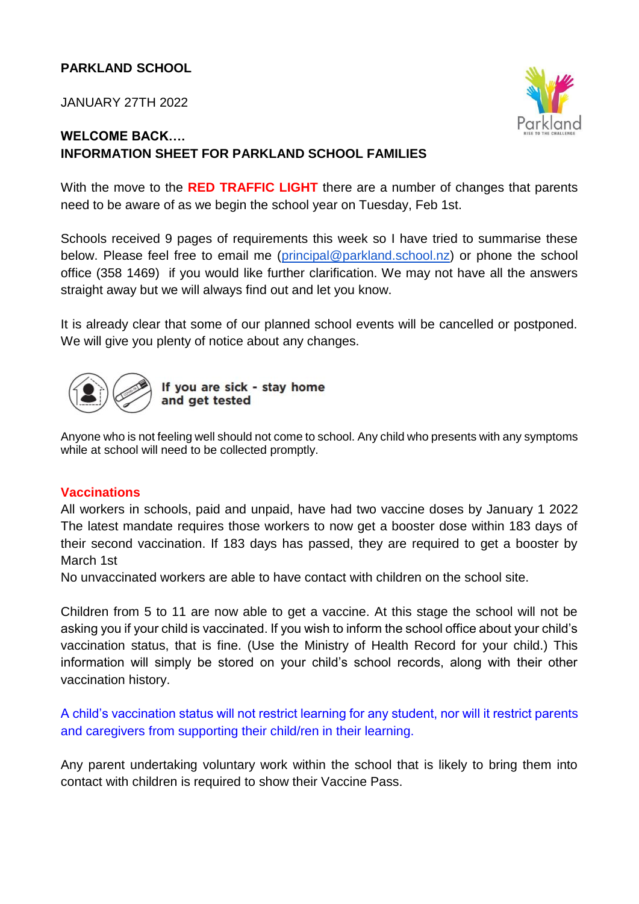## **PARKLAND SCHOOL**

JANUARY 27TH 2022



# **WELCOME BACK…. INFORMATION SHEET FOR PARKLAND SCHOOL FAMILIES**

With the move to the **RED TRAFFIC LIGHT** there are a number of changes that parents need to be aware of as we begin the school year on Tuesday, Feb 1st.

Schools received 9 pages of requirements this week so I have tried to summarise these below. Please feel free to email me [\(principal@parkland.school.nz\)](mailto:principal@parkland.school.nz) or phone the school office (358 1469) if you would like further clarification. We may not have all the answers straight away but we will always find out and let you know.

It is already clear that some of our planned school events will be cancelled or postponed. We will give you plenty of notice about any changes.



If you are sick - stay home and get tested

Anyone who is not feeling well should not come to school. Any child who presents with any symptoms while at school will need to be collected promptly.

### **Vaccinations**

All workers in schools, paid and unpaid, have had two vaccine doses by January 1 2022 The latest mandate requires those workers to now get a booster dose within 183 days of their second vaccination. If 183 days has passed, they are required to get a booster by March 1st

No unvaccinated workers are able to have contact with children on the school site.

Children from 5 to 11 are now able to get a vaccine. At this stage the school will not be asking you if your child is vaccinated. If you wish to inform the school office about your child's vaccination status, that is fine. (Use the Ministry of Health Record for your child.) This information will simply be stored on your child's school records, along with their other vaccination history.

A child's vaccination status will not restrict learning for any student, nor will it restrict parents and caregivers from supporting their child/ren in their learning.

Any parent undertaking voluntary work within the school that is likely to bring them into contact with children is required to show their Vaccine Pass.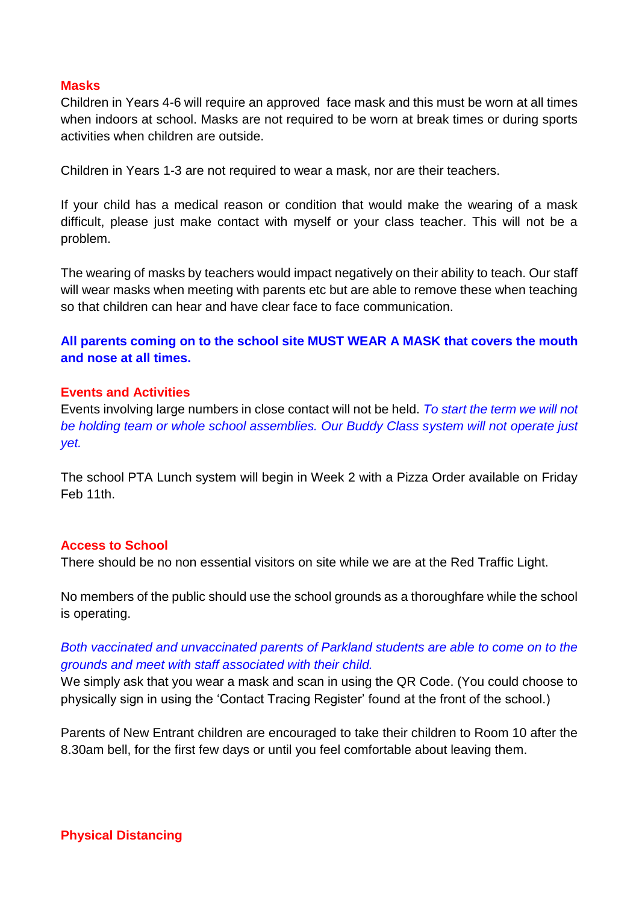### **Masks**

Children in Years 4-6 will require an approved face mask and this must be worn at all times when indoors at school. Masks are not required to be worn at break times or during sports activities when children are outside.

Children in Years 1-3 are not required to wear a mask, nor are their teachers.

If your child has a medical reason or condition that would make the wearing of a mask difficult, please just make contact with myself or your class teacher. This will not be a problem.

The wearing of masks by teachers would impact negatively on their ability to teach. Our staff will wear masks when meeting with parents etc but are able to remove these when teaching so that children can hear and have clear face to face communication.

**All parents coming on to the school site MUST WEAR A MASK that covers the mouth and nose at all times.**

### **Events and Activities**

Events involving large numbers in close contact will not be held. *To start the term we will not be holding team or whole school assemblies. Our Buddy Class system will not operate just yet.*

The school PTA Lunch system will begin in Week 2 with a Pizza Order available on Friday Feb 11th.

#### **Access to School**

There should be no non essential visitors on site while we are at the Red Traffic Light.

No members of the public should use the school grounds as a thoroughfare while the school is operating.

## *Both vaccinated and unvaccinated parents of Parkland students are able to come on to the grounds and meet with staff associated with their child.*

We simply ask that you wear a mask and scan in using the QR Code. (You could choose to physically sign in using the 'Contact Tracing Register' found at the front of the school.)

Parents of New Entrant children are encouraged to take their children to Room 10 after the 8.30am bell, for the first few days or until you feel comfortable about leaving them.